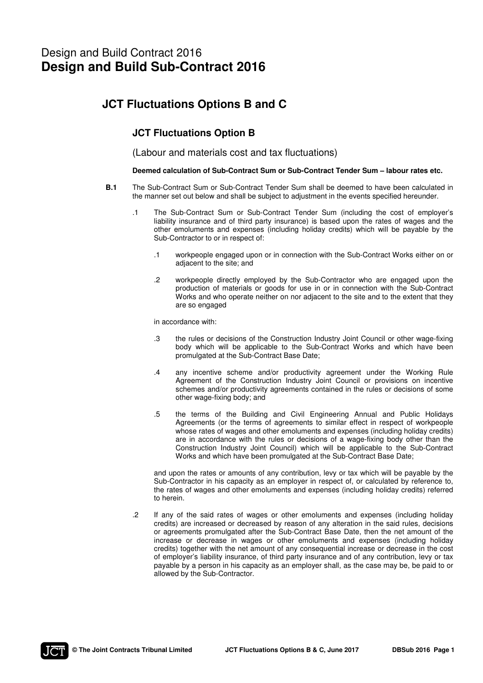# Design and Build Contract 2016 **Design and Build Sub-Contract 2016**

## **JCT Fluctuations Options B and C**

### **JCT Fluctuations Option B**

(Labour and materials cost and tax fluctuations)

#### **Deemed calculation of Sub-Contract Sum or Sub-Contract Tender Sum – labour rates etc.**

- **B.1** The Sub-Contract Sum or Sub-Contract Tender Sum shall be deemed to have been calculated in the manner set out below and shall be subject to adjustment in the events specified hereunder.
	- .1 The Sub-Contract Sum or Sub-Contract Tender Sum (including the cost of employer's liability insurance and of third party insurance) is based upon the rates of wages and the other emoluments and expenses (including holiday credits) which will be payable by the Sub-Contractor to or in respect of:
		- .1 workpeople engaged upon or in connection with the Sub-Contract Works either on or adjacent to the site; and
		- .2 workpeople directly employed by the Sub-Contractor who are engaged upon the production of materials or goods for use in or in connection with the Sub-Contract Works and who operate neither on nor adjacent to the site and to the extent that they are so engaged

in accordance with:

- .3 the rules or decisions of the Construction Industry Joint Council or other wage-fixing body which will be applicable to the Sub-Contract Works and which have been promulgated at the Sub-Contract Base Date;
- .4 any incentive scheme and/or productivity agreement under the Working Rule Agreement of the Construction Industry Joint Council or provisions on incentive schemes and/or productivity agreements contained in the rules or decisions of some other wage-fixing body; and
- .5 the terms of the Building and Civil Engineering Annual and Public Holidays Agreements (or the terms of agreements to similar effect in respect of workpeople whose rates of wages and other emoluments and expenses (including holiday credits) are in accordance with the rules or decisions of a wage-fixing body other than the Construction Industry Joint Council) which will be applicable to the Sub-Contract Works and which have been promulgated at the Sub-Contract Base Date;

 and upon the rates or amounts of any contribution, levy or tax which will be payable by the Sub-Contractor in his capacity as an employer in respect of, or calculated by reference to, the rates of wages and other emoluments and expenses (including holiday credits) referred to herein.

 .2 If any of the said rates of wages or other emoluments and expenses (including holiday credits) are increased or decreased by reason of any alteration in the said rules, decisions or agreements promulgated after the Sub-Contract Base Date, then the net amount of the increase or decrease in wages or other emoluments and expenses (including holiday credits) together with the net amount of any consequential increase or decrease in the cost of employer's liability insurance, of third party insurance and of any contribution, levy or tax payable by a person in his capacity as an employer shall, as the case may be, be paid to or allowed by the Sub-Contractor.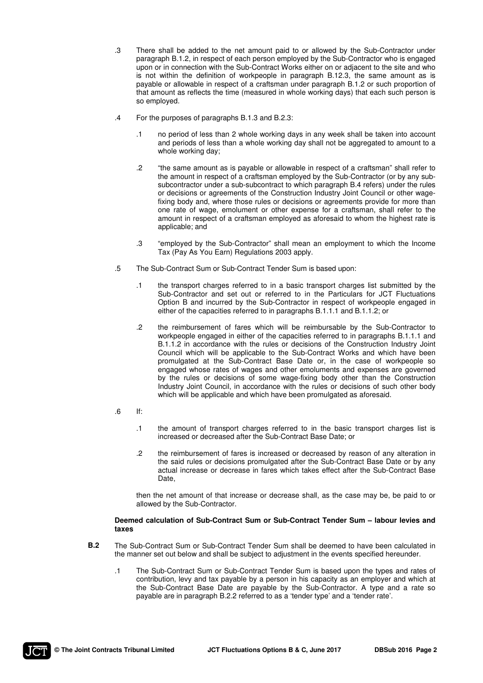- .3 There shall be added to the net amount paid to or allowed by the Sub-Contractor under paragraph B.1.2, in respect of each person employed by the Sub-Contractor who is engaged upon or in connection with the Sub-Contract Works either on or adjacent to the site and who is not within the definition of workpeople in paragraph B.12.3, the same amount as is payable or allowable in respect of a craftsman under paragraph B.1.2 or such proportion of that amount as reflects the time (measured in whole working days) that each such person is so employed.
- .4 For the purposes of paragraphs B.1.3 and B.2.3:
	- .1 no period of less than 2 whole working days in any week shall be taken into account and periods of less than a whole working day shall not be aggregated to amount to a whole working day;
	- .2 "the same amount as is payable or allowable in respect of a craftsman" shall refer to the amount in respect of a craftsman employed by the Sub-Contractor (or by any subsubcontractor under a sub-subcontract to which paragraph B.4 refers) under the rules or decisions or agreements of the Construction Industry Joint Council or other wagefixing body and, where those rules or decisions or agreements provide for more than one rate of wage, emolument or other expense for a craftsman, shall refer to the amount in respect of a craftsman employed as aforesaid to whom the highest rate is applicable; and
	- .3 "employed by the Sub-Contractor" shall mean an employment to which the Income Tax (Pay As You Earn) Regulations 2003 apply.
- .5 The Sub-Contract Sum or Sub-Contract Tender Sum is based upon:
	- .1 the transport charges referred to in a basic transport charges list submitted by the Sub-Contractor and set out or referred to in the Particulars for JCT Fluctuations Option B and incurred by the Sub-Contractor in respect of workpeople engaged in either of the capacities referred to in paragraphs B.1.1.1 and B.1.1.2; or
	- .2 the reimbursement of fares which will be reimbursable by the Sub-Contractor to workpeople engaged in either of the capacities referred to in paragraphs B.1.1.1 and B.1.1.2 in accordance with the rules or decisions of the Construction Industry Joint Council which will be applicable to the Sub-Contract Works and which have been promulgated at the Sub-Contract Base Date or, in the case of workpeople so engaged whose rates of wages and other emoluments and expenses are governed by the rules or decisions of some wage-fixing body other than the Construction Industry Joint Council, in accordance with the rules or decisions of such other body which will be applicable and which have been promulgated as aforesaid.
- $\blacksquare$ .6 If:
	- .1 the amount of transport charges referred to in the basic transport charges list is increased or decreased after the Sub-Contract Base Date; or
	- .2 the reimbursement of fares is increased or decreased by reason of any alteration in the said rules or decisions promulgated after the Sub-Contract Base Date or by any actual increase or decrease in fares which takes effect after the Sub-Contract Base Date,

 then the net amount of that increase or decrease shall, as the case may be, be paid to or allowed by the Sub-Contractor.

#### **Deemed calculation of Sub-Contract Sum or Sub-Contract Tender Sum – labour levies and taxes**

- **B.2** The Sub-Contract Sum or Sub-Contract Tender Sum shall be deemed to have been calculated in the manner set out below and shall be subject to adjustment in the events specified hereunder.
	- .1 The Sub-Contract Sum or Sub-Contract Tender Sum is based upon the types and rates of contribution, levy and tax payable by a person in his capacity as an employer and which at the Sub-Contract Base Date are payable by the Sub-Contractor. A type and a rate so payable are in paragraph B.2.2 referred to as a 'tender type' and a 'tender rate'.

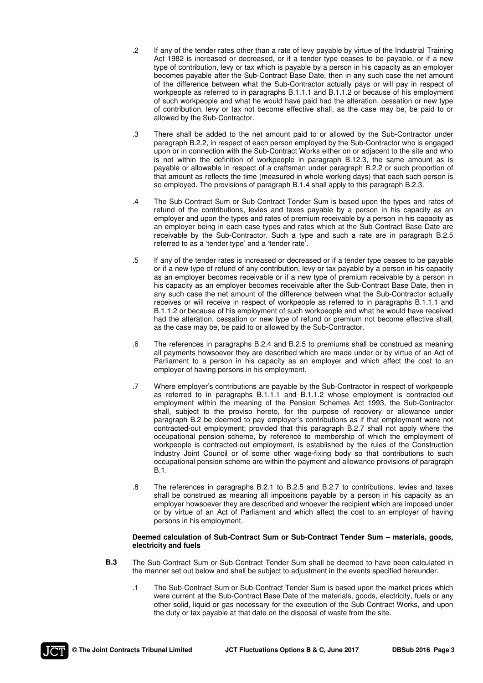- .2 If any of the tender rates other than a rate of levy payable by virtue of the Industrial Training Act 1982 is increased or decreased, or if a tender type ceases to be payable, or if a new type of contribution, levy or tax which is payable by a person in his capacity as an employer becomes payable after the Sub-Contract Base Date, then in any such case the net amount of the difference between what the Sub-Contractor actually pays or will pay in respect of workpeople as referred to in paragraphs B.1.1.1 and B.1.1.2 or because of his employment of such workpeople and what he would have paid had the alteration, cessation or new type of contribution, levy or tax not become effective shall, as the case may be, be paid to or allowed by the Sub-Contractor.
- .3 There shall be added to the net amount paid to or allowed by the Sub-Contractor under paragraph B.2.2, in respect of each person employed by the Sub-Contractor who is engaged upon or in connection with the Sub-Contract Works either on or adjacent to the site and who is not within the definition of workpeople in paragraph B.12.3, the same amount as is payable or allowable in respect of a craftsman under paragraph B.2.2 or such proportion of that amount as reflects the time (measured in whole working days) that each such person is so employed. The provisions of paragraph B.1.4 shall apply to this paragraph B.2.3.
- .4 The Sub-Contract Sum or Sub-Contract Tender Sum is based upon the types and rates of refund of the contributions, levies and taxes payable by a person in his capacity as an employer and upon the types and rates of premium receivable by a person in his capacity as an employer being in each case types and rates which at the Sub-Contract Base Date are receivable by the Sub-Contractor. Such a type and such a rate are in paragraph B.2.5 referred to as a 'tender type' and a 'tender rate'.
- .5 If any of the tender rates is increased or decreased or if a tender type ceases to be payable or if a new type of refund of any contribution, levy or tax payable by a person in his capacity as an employer becomes receivable or if a new type of premium receivable by a person in his capacity as an employer becomes receivable after the Sub-Contract Base Date, then in any such case the net amount of the difference between what the Sub-Contractor actually receives or will receive in respect of workpeople as referred to in paragraphs B.1.1.1 and B.1.1.2 or because of his employment of such workpeople and what he would have received had the alteration, cessation or new type of refund or premium not become effective shall, as the case may be, be paid to or allowed by the Sub-Contractor.
- .6 The references in paragraphs B.2.4 and B.2.5 to premiums shall be construed as meaning all payments howsoever they are described which are made under or by virtue of an Act of Parliament to a person in his capacity as an employer and which affect the cost to an employer of having persons in his employment.
- .7 Where employer's contributions are payable by the Sub-Contractor in respect of workpeople as referred to in paragraphs B.1.1.1 and B.1.1.2 whose employment is contracted-out employment within the meaning of the Pension Schemes Act 1993, the Sub-Contractor shall, subject to the proviso hereto, for the purpose of recovery or allowance under paragraph B.2 be deemed to pay employer's contributions as if that employment were not contracted-out employment; provided that this paragraph B.2.7 shall not apply where the occupational pension scheme, by reference to membership of which the employment of workpeople is contracted-out employment, is established by the rules of the Construction Industry Joint Council or of some other wage-fixing body so that contributions to such occupational pension scheme are within the payment and allowance provisions of paragraph B.1.
- .8 The references in paragraphs B.2.1 to B.2.5 and B.2.7 to contributions, levies and taxes shall be construed as meaning all impositions payable by a person in his capacity as an employer howsoever they are described and whoever the recipient which are imposed under or by virtue of an Act of Parliament and which affect the cost to an employer of having persons in his employment.

#### **Deemed calculation of Sub-Contract Sum or Sub-Contract Tender Sum – materials, goods, electricity and fuels**

- **B.3** The Sub-Contract Sum or Sub-Contract Tender Sum shall be deemed to have been calculated in the manner set out below and shall be subject to adjustment in the events specified hereunder.
	- .1 The Sub-Contract Sum or Sub-Contract Tender Sum is based upon the market prices which were current at the Sub-Contract Base Date of the materials, goods, electricity, fuels or any other solid, liquid or gas necessary for the execution of the Sub-Contract Works, and upon the duty or tax payable at that date on the disposal of waste from the site.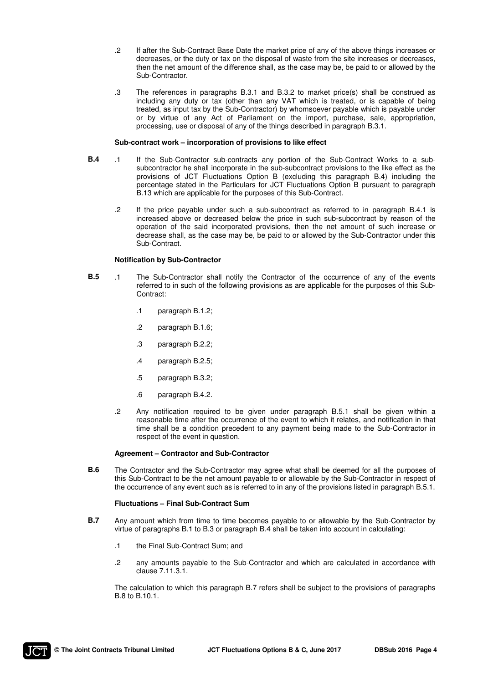- .2 If after the Sub-Contract Base Date the market price of any of the above things increases or decreases, or the duty or tax on the disposal of waste from the site increases or decreases, then the net amount of the difference shall, as the case may be, be paid to or allowed by the Sub-Contractor.
- .3 The references in paragraphs B.3.1 and B.3.2 to market price(s) shall be construed as including any duty or tax (other than any VAT which is treated, or is capable of being treated, as input tax by the Sub-Contractor) by whomsoever payable which is payable under or by virtue of any Act of Parliament on the import, purchase, sale, appropriation, processing, use or disposal of any of the things described in paragraph B.3.1.

#### **Sub-contract work – incorporation of provisions to like effect**

- **B.4** .1 If the Sub-Contractor sub-contracts any portion of the Sub-Contract Works to a subsubcontractor he shall incorporate in the sub-subcontract provisions to the like effect as the provisions of JCT Fluctuations Option B (excluding this paragraph B.4) including the percentage stated in the Particulars for JCT Fluctuations Option B pursuant to paragraph B.13 which are applicable for the purposes of this Sub-Contract.
	- .2 If the price payable under such a sub-subcontract as referred to in paragraph B.4.1 is increased above or decreased below the price in such sub-subcontract by reason of the operation of the said incorporated provisions, then the net amount of such increase or decrease shall, as the case may be, be paid to or allowed by the Sub-Contractor under this Sub-Contract.

#### **Notification by Sub-Contractor**

- **B.5** .1 The Sub-Contractor shall notify the Contractor of the occurrence of any of the events referred to in such of the following provisions as are applicable for the purposes of this Sub-Contract:
	- .1 paragraph B.1.2;
	- .2 paragraph B.1.6;
	- .3 paragraph B.2.2;
	- .4 paragraph B.2.5;
	- .5 paragraph B.3.2;
	- .6 paragraph B.4.2.
	- .2 Any notification required to be given under paragraph B.5.1 shall be given within a reasonable time after the occurrence of the event to which it relates, and notification in that time shall be a condition precedent to any payment being made to the Sub-Contractor in respect of the event in question.

#### **Agreement – Contractor and Sub-Contractor**

**B.6** The Contractor and the Sub-Contractor may agree what shall be deemed for all the purposes of this Sub-Contract to be the net amount payable to or allowable by the Sub-Contractor in respect of the occurrence of any event such as is referred to in any of the provisions listed in paragraph B.5.1.

#### **Fluctuations – Final Sub-Contract Sum**

- **B.7** Any amount which from time to time becomes payable to or allowable by the Sub-Contractor by virtue of paragraphs B.1 to B.3 or paragraph B.4 shall be taken into account in calculating:
	- .1 the Final Sub-Contract Sum; and
	- .2 any amounts payable to the Sub-Contractor and which are calculated in accordance with clause 7.11.3.1.

 The calculation to which this paragraph B.7 refers shall be subject to the provisions of paragraphs B.8 to B.10.1.

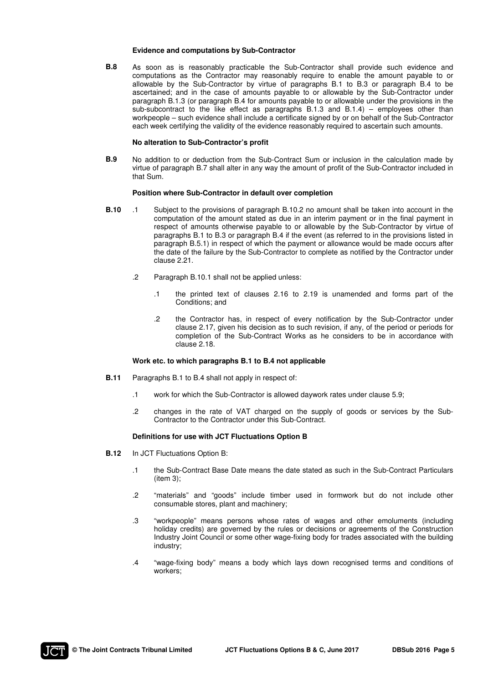#### **Evidence and computations by Sub-Contractor**

**B.8** As soon as is reasonably practicable the Sub-Contractor shall provide such evidence and computations as the Contractor may reasonably require to enable the amount payable to or allowable by the Sub-Contractor by virtue of paragraphs B.1 to B.3 or paragraph B.4 to be ascertained; and in the case of amounts payable to or allowable by the Sub-Contractor under paragraph B.1.3 (or paragraph B.4 for amounts payable to or allowable under the provisions in the sub-subcontract to the like effect as paragraphs  $B.1.3$  and  $B.1.4$ ) – employees other than workpeople – such evidence shall include a certificate signed by or on behalf of the Sub-Contractor each week certifying the validity of the evidence reasonably required to ascertain such amounts.

#### **No alteration to Sub-Contractor's profit**

**B.9** No addition to or deduction from the Sub-Contract Sum or inclusion in the calculation made by virtue of paragraph B.7 shall alter in any way the amount of profit of the Sub-Contractor included in that Sum.

#### **Position where Sub-Contractor in default over completion**

- **B.10** .1 Subject to the provisions of paragraph B.10.2 no amount shall be taken into account in the computation of the amount stated as due in an interim payment or in the final payment in respect of amounts otherwise payable to or allowable by the Sub-Contractor by virtue of paragraphs B.1 to B.3 or paragraph B.4 if the event (as referred to in the provisions listed in paragraph B.5.1) in respect of which the payment or allowance would be made occurs after the date of the failure by the Sub-Contractor to complete as notified by the Contractor under clause 2.21.
	- .2 Paragraph B.10.1 shall not be applied unless:
		- .1 the printed text of clauses 2.16 to 2.19 is unamended and forms part of the Conditions; and
		- .2 the Contractor has, in respect of every notification by the Sub-Contractor under clause 2.17, given his decision as to such revision, if any, of the period or periods for completion of the Sub-Contract Works as he considers to be in accordance with clause 2.18.

#### **Work etc. to which paragraphs B.1 to B.4 not applicable**

- **B.11** Paragraphs B.1 to B.4 shall not apply in respect of:
	- .1 work for which the Sub-Contractor is allowed daywork rates under clause 5.9;
	- .2 changes in the rate of VAT charged on the supply of goods or services by the Sub-Contractor to the Contractor under this Sub-Contract.

#### **Definitions for use with JCT Fluctuations Option B**

- **B.12** In JCT Fluctuations Option B:
	- .1 the Sub-Contract Base Date means the date stated as such in the Sub-Contract Particulars (item 3);
	- .2 "materials" and "goods" include timber used in formwork but do not include other consumable stores, plant and machinery;
	- .3 "workpeople" means persons whose rates of wages and other emoluments (including holiday credits) are governed by the rules or decisions or agreements of the Construction Industry Joint Council or some other wage-fixing body for trades associated with the building industry;
	- .4 "wage-fixing body" means a body which lays down recognised terms and conditions of workers;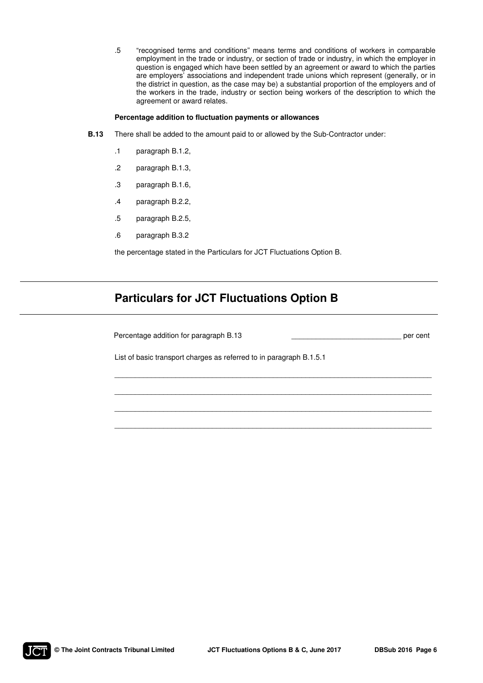.5 "recognised terms and conditions" means terms and conditions of workers in comparable employment in the trade or industry, or section of trade or industry, in which the employer in question is engaged which have been settled by an agreement or award to which the parties are employers' associations and independent trade unions which represent (generally, or in the district in question, as the case may be) a substantial proportion of the employers and of the workers in the trade, industry or section being workers of the description to which the agreement or award relates.

#### **Percentage addition to fluctuation payments or allowances**

- **B.13** There shall be added to the amount paid to or allowed by the Sub-Contractor under:
	- .1 paragraph B.1.2,
	- .2 paragraph B.1.3,
	- .3 paragraph B.1.6,
	- .4 paragraph B.2.2,
	- .5 paragraph B.2.5,
	- .6 paragraph B.3.2

the percentage stated in the Particulars for JCT Fluctuations Option B.

## **Particulars for JCT Fluctuations Option B**

| Percentage addition for paragraph B.13                              | per cent |
|---------------------------------------------------------------------|----------|
| List of basic transport charges as referred to in paragraph B.1.5.1 |          |
|                                                                     |          |
|                                                                     |          |
|                                                                     |          |

\_\_\_\_\_\_\_\_\_\_\_\_\_\_\_\_\_\_\_\_\_\_\_\_\_\_\_\_\_\_\_\_\_\_\_\_\_\_\_\_\_\_\_\_\_\_\_\_\_\_\_\_\_\_\_\_\_\_\_\_\_\_\_\_\_\_\_\_\_\_\_\_\_\_\_\_\_\_

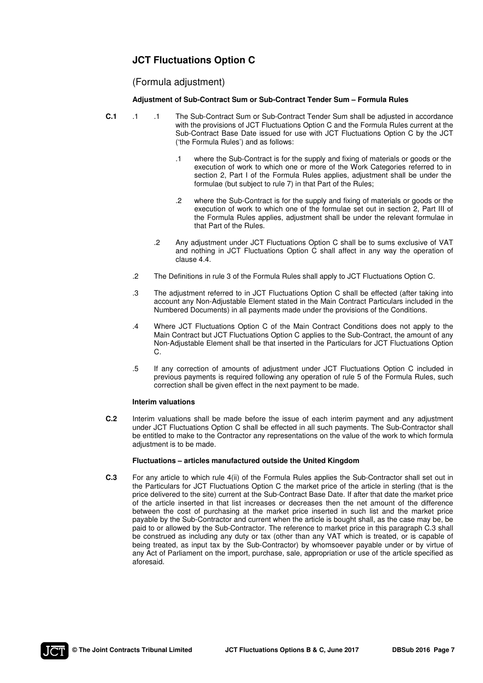### **JCT Fluctuations Option C**

### (Formula adjustment)

#### **Adjustment of Sub-Contract Sum or Sub-Contract Tender Sum – Formula Rules**

- **C.1** .1 .1 The Sub-Contract Sum or Sub-Contract Tender Sum shall be adjusted in accordance with the provisions of JCT Fluctuations Option C and the Formula Rules current at the Sub-Contract Base Date issued for use with JCT Fluctuations Option C by the JCT ('the Formula Rules') and as follows:
	- .1 where the Sub-Contract is for the supply and fixing of materials or goods or the execution of work to which one or more of the Work Categories referred to in section 2, Part I of the Formula Rules applies, adjustment shall be under the formulae (but subject to rule 7) in that Part of the Rules;
	- .2 where the Sub-Contract is for the supply and fixing of materials or goods or the execution of work to which one of the formulae set out in section 2, Part III of the Formula Rules applies, adjustment shall be under the relevant formulae in that Part of the Rules.
	- .2 Any adjustment under JCT Fluctuations Option C shall be to sums exclusive of VAT and nothing in JCT Fluctuations Option C shall affect in any way the operation of clause 4.4.
	- .2 The Definitions in rule 3 of the Formula Rules shall apply to JCT Fluctuations Option C.
	- .3 The adjustment referred to in JCT Fluctuations Option C shall be effected (after taking into account any Non-Adjustable Element stated in the Main Contract Particulars included in the Numbered Documents) in all payments made under the provisions of the Conditions.
	- .4 Where JCT Fluctuations Option C of the Main Contract Conditions does not apply to the Main Contract but JCT Fluctuations Option C applies to the Sub-Contract, the amount of any Non-Adjustable Element shall be that inserted in the Particulars for JCT Fluctuations Option C.
	- .5 If any correction of amounts of adjustment under JCT Fluctuations Option C included in previous payments is required following any operation of rule 5 of the Formula Rules, such correction shall be given effect in the next payment to be made.

#### **Interim valuations**

**C.2** Interim valuations shall be made before the issue of each interim payment and any adjustment under JCT Fluctuations Option C shall be effected in all such payments. The Sub-Contractor shall be entitled to make to the Contractor any representations on the value of the work to which formula adiustment is to be made.

#### **Fluctuations – articles manufactured outside the United Kingdom**

**C.3** For any article to which rule 4(ii) of the Formula Rules applies the Sub-Contractor shall set out in the Particulars for JCT Fluctuations Option C the market price of the article in sterling (that is the price delivered to the site) current at the Sub-Contract Base Date. If after that date the market price of the article inserted in that list increases or decreases then the net amount of the difference between the cost of purchasing at the market price inserted in such list and the market price payable by the Sub-Contractor and current when the article is bought shall, as the case may be, be paid to or allowed by the Sub-Contractor. The reference to market price in this paragraph C.3 shall be construed as including any duty or tax (other than any VAT which is treated, or is capable of being treated, as input tax by the Sub-Contractor) by whomsoever payable under or by virtue of any Act of Parliament on the import, purchase, sale, appropriation or use of the article specified as aforesaid.

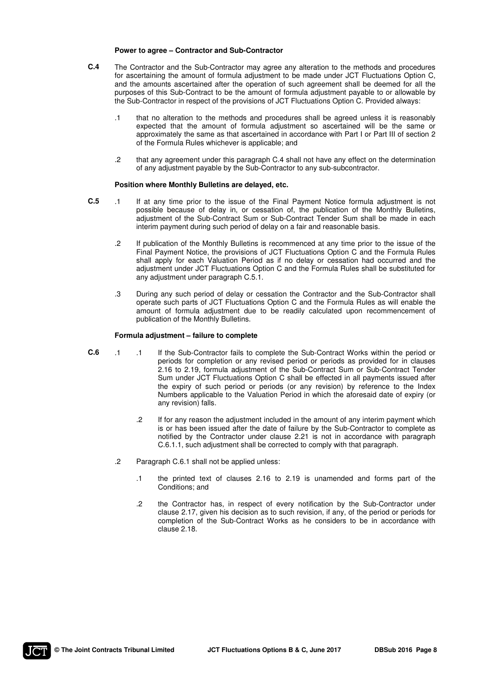#### **Power to agree – Contractor and Sub-Contractor**

- **C.4** The Contractor and the Sub-Contractor may agree any alteration to the methods and procedures for ascertaining the amount of formula adjustment to be made under JCT Fluctuations Option C, and the amounts ascertained after the operation of such agreement shall be deemed for all the purposes of this Sub-Contract to be the amount of formula adjustment payable to or allowable by the Sub-Contractor in respect of the provisions of JCT Fluctuations Option C. Provided always:
	- .1 that no alteration to the methods and procedures shall be agreed unless it is reasonably expected that the amount of formula adjustment so ascertained will be the same or approximately the same as that ascertained in accordance with Part I or Part III of section 2 of the Formula Rules whichever is applicable; and
	- .2 that any agreement under this paragraph C.4 shall not have any effect on the determination of any adjustment payable by the Sub-Contractor to any sub-subcontractor.

#### **Position where Monthly Bulletins are delayed, etc.**

- **C.5** .1 If at any time prior to the issue of the Final Payment Notice formula adjustment is not possible because of delay in, or cessation of, the publication of the Monthly Bulletins, adjustment of the Sub-Contract Sum or Sub-Contract Tender Sum shall be made in each interim payment during such period of delay on a fair and reasonable basis.
	- .2 If publication of the Monthly Bulletins is recommenced at any time prior to the issue of the Final Payment Notice, the provisions of JCT Fluctuations Option C and the Formula Rules shall apply for each Valuation Period as if no delay or cessation had occurred and the adjustment under JCT Fluctuations Option C and the Formula Rules shall be substituted for any adjustment under paragraph C.5.1.
	- .3 During any such period of delay or cessation the Contractor and the Sub-Contractor shall operate such parts of JCT Fluctuations Option C and the Formula Rules as will enable the amount of formula adjustment due to be readily calculated upon recommencement of publication of the Monthly Bulletins.

#### **Formula adjustment – failure to complete**

- **C.6** .1 .1 If the Sub-Contractor fails to complete the Sub-Contract Works within the period or periods for completion or any revised period or periods as provided for in clauses 2.16 to 2.19, formula adjustment of the Sub-Contract Sum or Sub-Contract Tender Sum under JCT Fluctuations Option C shall be effected in all payments issued after the expiry of such period or periods (or any revision) by reference to the Index Numbers applicable to the Valuation Period in which the aforesaid date of expiry (or any revision) falls.
	- .2 If for any reason the adjustment included in the amount of any interim payment which is or has been issued after the date of failure by the Sub-Contractor to complete as notified by the Contractor under clause 2.21 is not in accordance with paragraph C.6.1.1, such adjustment shall be corrected to comply with that paragraph.
	- .2 Paragraph C.6.1 shall not be applied unless:
		- .1 the printed text of clauses 2.16 to 2.19 is unamended and forms part of the Conditions; and
		- .2 the Contractor has, in respect of every notification by the Sub-Contractor under clause 2.17, given his decision as to such revision, if any, of the period or periods for completion of the Sub-Contract Works as he considers to be in accordance with clause 2.18.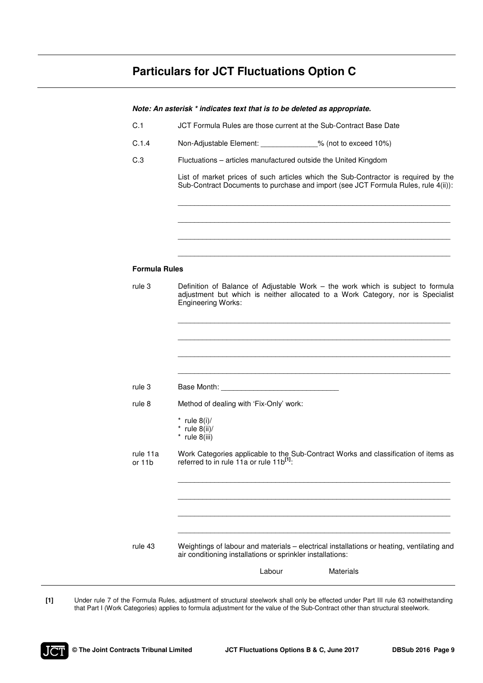# **Particulars for JCT Fluctuations Option C**

| C.1                  | JCT Formula Rules are those current at the Sub-Contract Base Date                                                                                                                                                              |
|----------------------|--------------------------------------------------------------------------------------------------------------------------------------------------------------------------------------------------------------------------------|
| C.1.4                | Non-Adjustable Element: % (not to exceed 10%)                                                                                                                                                                                  |
| C.3                  | Fluctuations - articles manufactured outside the United Kingdom                                                                                                                                                                |
|                      | List of market prices of such articles which the Sub-Contractor is required by the<br>Sub-Contract Documents to purchase and import (see JCT Formula Rules, rule 4(ii)):                                                       |
|                      |                                                                                                                                                                                                                                |
| <b>Formula Rules</b> |                                                                                                                                                                                                                                |
| rule 3               | Definition of Balance of Adjustable Work – the work which is subject to formula<br>adjustment but which is neither allocated to a Work Category, nor is Specialist<br><b>Engineering Works:</b>                                |
|                      |                                                                                                                                                                                                                                |
|                      |                                                                                                                                                                                                                                |
| rule 3               | Base Month: Note and Separate and Separate and Separate and Separate and Separate and Separate and Separate and Separate and Separate and Separate and Separate and Separate and Separate and Separate and Separate and Separa |
| rule 8               | Method of dealing with 'Fix-Only' work:                                                                                                                                                                                        |
|                      | * rule $8(i)$ /<br>* rule $8(ii)/$<br>$*$ rule 8(iii)                                                                                                                                                                          |
| rule 11a<br>or 11b   | Work Categories applicable to the Sub-Contract Works and classification of items as<br>referred to in rule 11a or rule 11b <sup>[1]</sup> :                                                                                    |
|                      |                                                                                                                                                                                                                                |
|                      |                                                                                                                                                                                                                                |
| rule 43              | Weightings of labour and materials - electrical installations or heating, ventilating and<br>air conditioning installations or sprinkler installations:                                                                        |
|                      | Labour<br><b>Materials</b>                                                                                                                                                                                                     |

**[1]** Under rule 7 of the Formula Rules, adjustment of structural steelwork shall only be effected under Part III rule 63 notwithstanding that Part I (Work Categories) applies to formula adjustment for the value of the Sub-Contract other than structural steelwork.



l